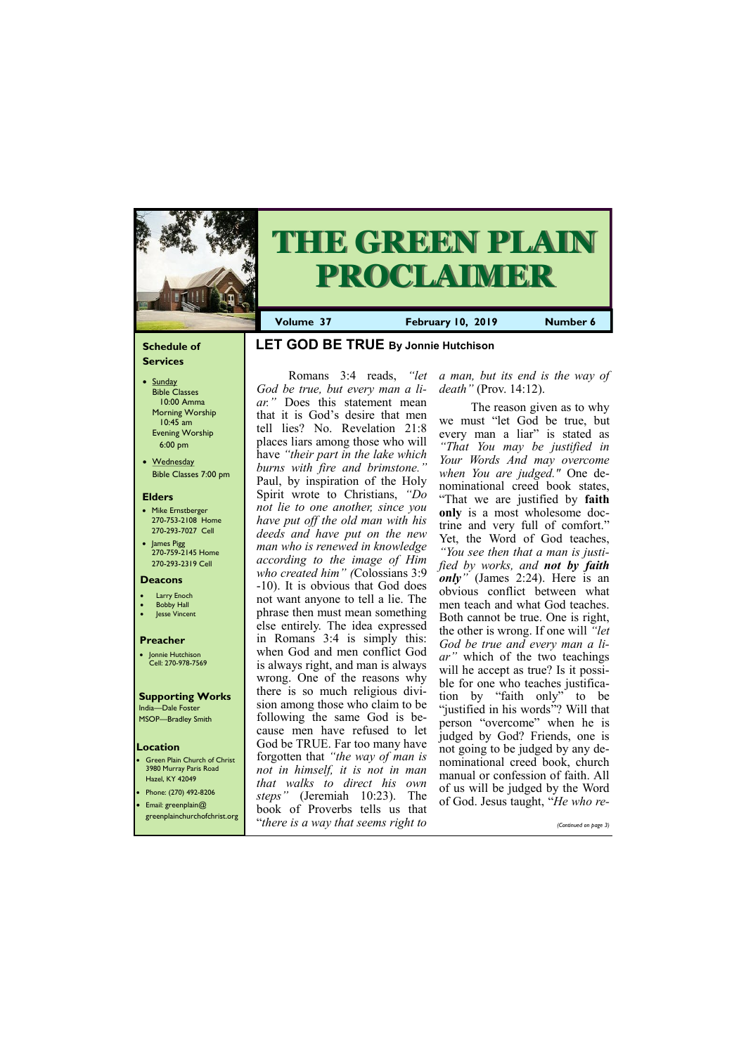## **Schedule of Services**

- Sunday Bible Classes 10:00 Amma Morning Worship 10:45 am Evening Worship 6:00 pm
- Wednesday Bible Classes 7:00 pm

### **Elders**

- Mike Ernstberger 270-753-2108 Home 270-293-7027 Cell
- James Pigg 270-759-2145 Home 270-293-2319 Cell

### **Location**

• Green Plain Church of Christ 3980 Murray Paris Road Hazel, KY 42049 • Phone: (270) 492-8206





**Volume 37 February 10, 2019 Number 6**

#### **Deacons**

- **Larry Enoch**
- **Bobby Hall**
- Jesse Vincent

### **Preacher**

• Jonnie Hutchison Cell: 270-978-7569

#### **Supporting Works** India—Dale Foster

MSOP—Bradley Smith

# **LET GOD BE TRUE By Jonnie Hutchison**

Romans 3:4 reads, *"let God be true, but every man a liar."* Does this statement mean that it is God's desire that men tell lies? No. Revelation 21:8 places liars among those who will have *"their part in the lake which burns with fire and brimstone."*  Paul, by inspiration of the Holy Spirit wrote to Christians, *"Do not lie to one another, since you have put off the old man with his deeds and have put on the new man who is renewed in knowledge according to the image of Him who created him" (*Colossians 3:9 -10). It is obvious that God does not want anyone to tell a lie. The phrase then must mean something else entirely. The idea expressed in Romans 3:4 is simply this: when God and men conflict God is always right, and man is always wrong. One of the reasons why there is so much religious division among those who claim to be following the same God is because men have refused to let God be TRUE. Far too many have forgotten that *"the way of man is not in himself, it is not in man that walks to direct his own steps"* (Jeremiah 10:23). The

| • Email: greenplain@<br>greenplainchurchofchrist.org | sieps<br>book of Proverbs tells us that | (Jeremian 10.25). The of God. Jesus taught, " <i>He who re-</i> |
|------------------------------------------------------|-----------------------------------------|-----------------------------------------------------------------|
|                                                      | "there is a way that seems right to     | (Continued on page 3)                                           |

*a man, but its end is the way of death"* (Prov. 14:12).

The reason given as to why we must "let God be true, but every man a liar" is stated as *"That You may be justified in Your Words And may overcome when You are judged."* One denominational creed book states, "That we are justified by **faith only** is a most wholesome doctrine and very full of comfort." Yet, the Word of God teaches, *"You see then that a man is justified by works, and not by faith only"* (James 2:24). Here is an obvious conflict between what men teach and what God teaches. Both cannot be true. One is right, the other is wrong. If one will *"let God be true and every man a liar"* which of the two teachings will he accept as true? Is it possible for one who teaches justification by "faith only" to be "justified in his words"? Will that person "overcome" when he is judged by God? Friends, one is not going to be judged by any denominational creed book, church manual or confession of faith. All of us will be judged by the Word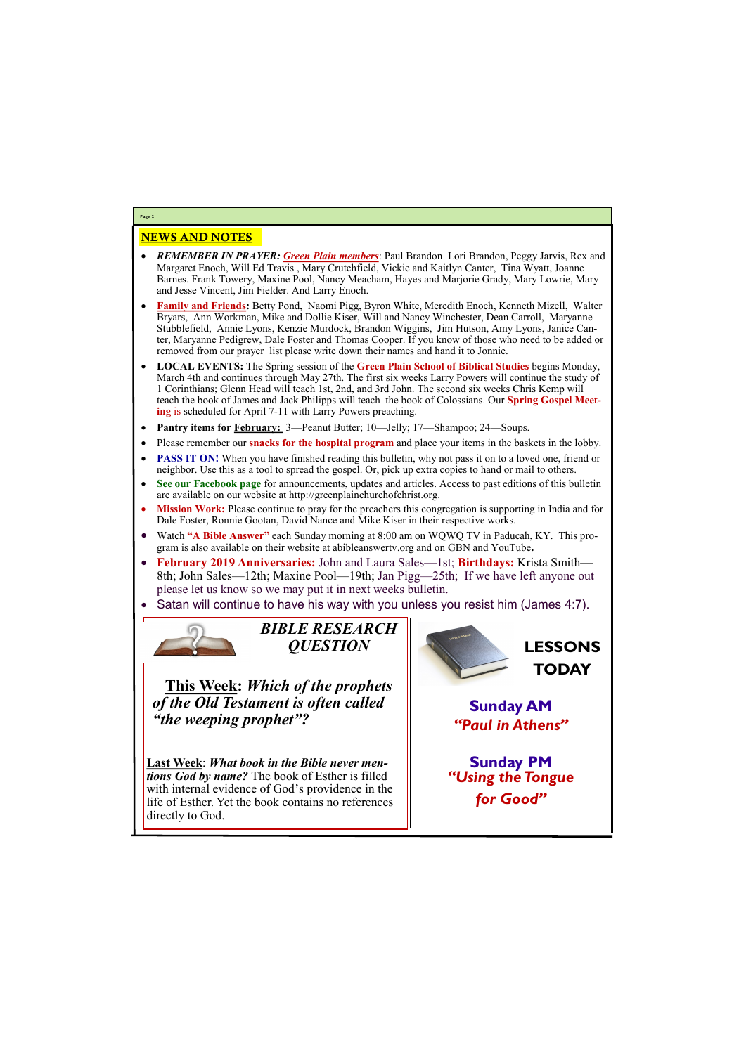# NEWS AND NOTES

- *REMEMBER IN PRAYER: Green Plain members*: Paul Brandon Lori Brandon, Peggy Jarvis, Rex and Margaret Enoch, Will Ed Travis , Mary Crutchfield, Vickie and Kaitlyn Canter, Tina Wyatt, Joanne Barnes. Frank Towery, Maxine Pool, Nancy Meacham, Hayes and Marjorie Grady, Mary Lowrie, Mary and Jesse Vincent, Jim Fielder. And Larry Enoch.
- **Family and Friends:** Betty Pond, Naomi Pigg, Byron White, Meredith Enoch, Kenneth Mizell, Walter Bryars, Ann Workman, Mike and Dollie Kiser, Will and Nancy Winchester, Dean Carroll, Maryanne Stubblefield, Annie Lyons, Kenzie Murdock, Brandon Wiggins, Jim Hutson, Amy Lyons, Janice Canter, Maryanne Pedigrew, Dale Foster and Thomas Cooper. If you know of those who need to be added or removed from our prayer list please write down their names and hand it to Jonnie.
- **LOCAL EVENTS:** The Spring session of the **Green Plain School of Biblical Studies** begins Monday, March 4th and continues through May 27th. The first six weeks Larry Powers will continue the study of 1 Corinthians; Glenn Head will teach 1st, 2nd, and 3rd John. The second six weeks Chris Kemp will teach the book of James and Jack Philipps will teach the book of Colossians. Our **Spring Gospel Meeting** is scheduled for April 7-11 with Larry Powers preaching.
- **Pantry items for February:** 3—Peanut Butter; 10—Jelly; 17—Shampoo; 24—Soups.
- Please remember our **snacks for the hospital program** and place your items in the baskets in the lobby.
- **PASS IT ON!** When you have finished reading this bulletin, why not pass it on to a loved one, friend or neighbor. Use this as a tool to spread the gospel. Or, pick up extra copies to hand or mail to others.
- **See our Facebook page** for announcements, updates and articles. Access to past editions of this bulletin are available on our website at http://greenplainchurchofchrist.org.
- **Mission Work:** Please continue to pray for the preachers this congregation is supporting in India and for Dale Foster, Ronnie Gootan, David Nance and Mike Kiser in their respective works.
- Watch **"A Bible Answer"** each Sunday morning at 8:00 am on WQWQ TV in Paducah, KY. This program is also available on their website at abibleanswertv.org and on GBN and YouTube**.**
- **February 2019 Anniversaries:** John and Laura Sales—1st; **Birthdays:** Krista Smith— 8th; John Sales—12th; Maxine Pool—19th; Jan Pigg—25th; If we have left anyone out please let us know so we may put it in next weeks bulletin.
- Satan will continue to have his way with you unless you resist him (James 4:7).



**Page 2**

*BIBLE RESEARCH QUESTION*

**This Week:** *Which of the prophets of the Old Testament is often called "the weeping prophet"?*

**Last Week**: *What book in the Bible never mentions God by name?* The book of Esther is filled with internal evidence of God's providence in the

life of Esther. Yet the book contains no references directly to God.



**Sunday AM** *"Paul in Athens"*

**Sunday PM** *"Using the Tongue* 

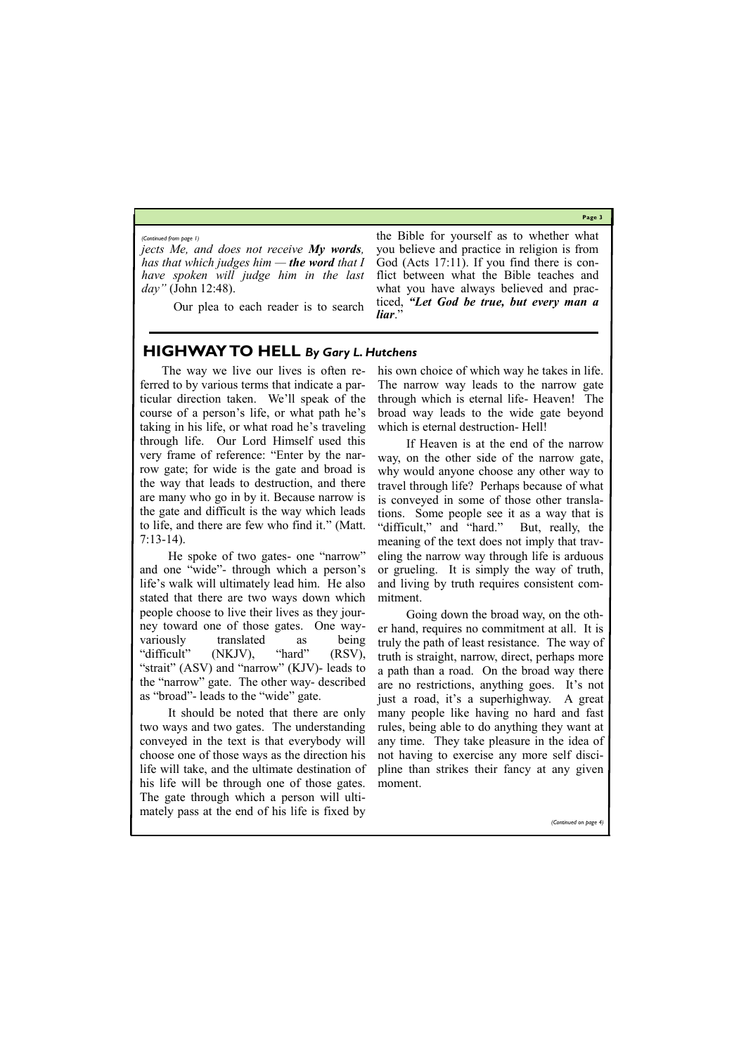**Page 3**

*jects Me, and does not receive My words, has that which judges him — the word that I have spoken will judge him in the last day"* (John 12:48).

Our plea to each reader is to search

the Bible for yourself as to whether what you believe and practice in religion is from God (Acts 17:11). If you find there is conflict between what the Bible teaches and what you have always believed and practiced, *"Let God be true, but every man a liar*."

*(Continued from page 1)*

# **HIGHWAY TO HELL** *By Gary L. Hutchens*

The way we live our lives is often referred to by various terms that indicate a particular direction taken. We'll speak of the course of a person's life, or what path he's taking in his life, or what road he's traveling through life. Our Lord Himself used this very frame of reference: "Enter by the narrow gate; for wide is the gate and broad is the way that leads to destruction, and there are many who go in by it. Because narrow is the gate and difficult is the way which leads to life, and there are few who find it." (Matt. 7:13-14).

 He spoke of two gates- one "narrow" and one "wide"- through which a person's life's walk will ultimately lead him. He also stated that there are two ways down which people choose to live their lives as they journey toward one of those gates. One wayvariously translated as being "difficult" (NKJV), "hard" (RSV), "strait" (ASV) and "narrow" (KJV)- leads to the "narrow" gate. The other way- described as "broad"- leads to the "wide" gate.

 It should be noted that there are only two ways and two gates. The understanding conveyed in the text is that everybody will choose one of those ways as the direction his life will take, and the ultimate destination of his life will be through one of those gates.

The gate through which a person will ultimately pass at the end of his life is fixed by

*(Continued on page* 

his own choice of which way he takes in life. The narrow way leads to the narrow gate through which is eternal life- Heaven! The broad way leads to the wide gate beyond which is eternal destruction- Hell!

 If Heaven is at the end of the narrow way, on the other side of the narrow gate, why would anyone choose any other way to travel through life? Perhaps because of what is conveyed in some of those other translations. Some people see it as a way that is "difficult," and "hard." But, really, the meaning of the text does not imply that traveling the narrow way through life is arduous or grueling. It is simply the way of truth, and living by truth requires consistent commitment.

 Going down the broad way, on the other hand, requires no commitment at all. It is truly the path of least resistance. The way of truth is straight, narrow, direct, perhaps more a path than a road. On the broad way there are no restrictions, anything goes. It's not just a road, it's a superhighway. A great many people like having no hard and fast rules, being able to do anything they want at any time. They take pleasure in the idea of not having to exercise any more self discipline than strikes their fancy at any given moment.